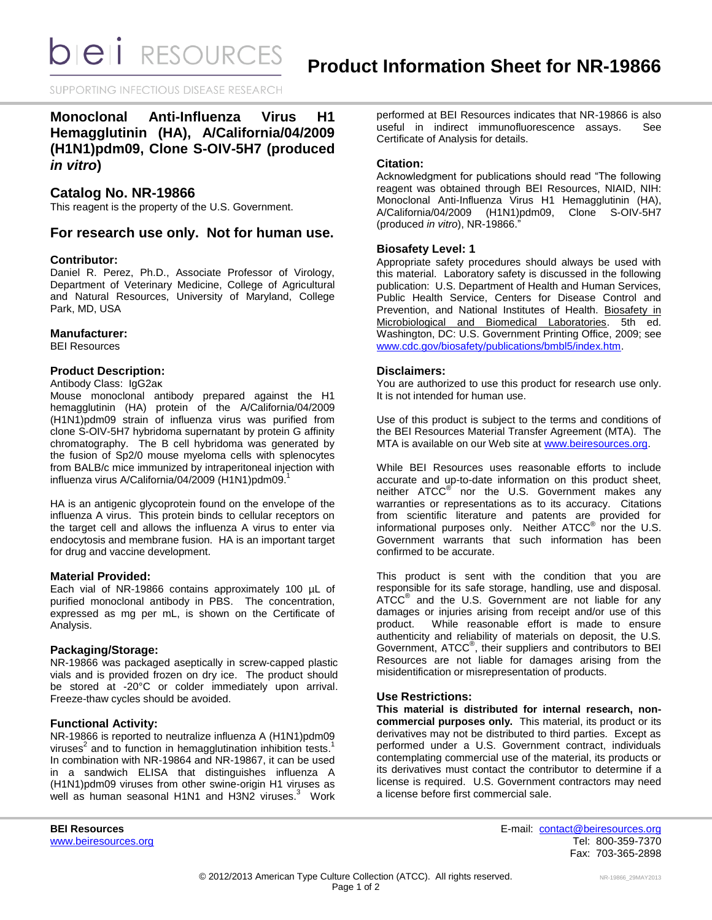**bieli** RESOURCES

SUPPORTING INFECTIOUS DISEASE RESEARCH

# **Monoclonal Anti-Influenza Virus H1 Hemagglutinin (HA), A/California/04/2009 (H1N1)pdm09, Clone S-OIV-5H7 (produced**  *in vitro***)**

# **Catalog No. NR-19866**

This reagent is the property of the U.S. Government.

# **For research use only. Not for human use.**

### **Contributor:**

Daniel R. Perez, Ph.D., Associate Professor of Virology, Department of Veterinary Medicine, College of Agricultural and Natural Resources, University of Maryland, College Park, MD, USA

### **Manufacturer:**

BEI Resources

### **Product Description:**

### Antibody Class: IgG2aκ

Mouse monoclonal antibody prepared against the H1 hemagglutinin (HA) protein of the A/California/04/2009 (H1N1)pdm09 strain of influenza virus was purified from clone S-OIV-5H7 hybridoma supernatant by protein G affinity chromatography. The B cell hybridoma was generated by the fusion of Sp2/0 mouse myeloma cells with splenocytes from BALB/c mice immunized by intraperitoneal injection with influenza virus A/California/04/2009 (H1N1)pdm09. 1

HA is an antigenic glycoprotein found on the envelope of the influenza A virus. This protein binds to cellular receptors on the target cell and allows the influenza A virus to enter via endocytosis and membrane fusion. HA is an important target for drug and vaccine development.

#### **Material Provided:**

Each vial of NR-19866 contains approximately 100 µL of purified monoclonal antibody in PBS. The concentration, expressed as mg per mL, is shown on the Certificate of Analysis.

### **Packaging/Storage:**

NR-19866 was packaged aseptically in screw-capped plastic vials and is provided frozen on dry ice. The product should be stored at -20°C or colder immediately upon arrival. Freeze-thaw cycles should be avoided.

### **Functional Activity:**

NR-19866 is reported to neutralize influenza A (H1N1)pdm09 viruses<sup>2</sup> and to function in hemagglutination inhibition tests.<sup>1</sup> In combination with NR-19864 and NR-19867, it can be used in a sandwich ELISA that distinguishes influenza A (H1N1)pdm09 viruses from other swine-origin H1 viruses as well as human seasonal H1N1 and H3N2 viruses. $3$  Work performed at BEI Resources indicates that NR-19866 is also useful in indirect immunofluorescence assays. See Certificate of Analysis for details.

### **Citation:**

Acknowledgment for publications should read "The following reagent was obtained through BEI Resources, NIAID, NIH: Monoclonal Anti-Influenza Virus H1 Hemagglutinin (HA), A/California/04/2009 (H1N1)pdm09, Clone S-OIV-5H7 (produced *in vitro*), NR-19866."

### **Biosafety Level: 1**

Appropriate safety procedures should always be used with this material. Laboratory safety is discussed in the following publication: U.S. Department of Health and Human Services, Public Health Service, Centers for Disease Control and Prevention, and National Institutes of Health. Biosafety in Microbiological and Biomedical Laboratories. 5th ed. Washington, DC: U.S. Government Printing Office, 2009; see [www.cdc.gov/biosafety/publications/bmbl5/index.htm.](http://www.cdc.gov/biosafety/publications/bmbl5/index.htm)

### **Disclaimers:**

You are authorized to use this product for research use only. It is not intended for human use.

Use of this product is subject to the terms and conditions of the BEI Resources Material Transfer Agreement (MTA). The MTA is available on our Web site at [www.beiresources.org.](http://www.beiresources.org/)

While BEI Resources uses reasonable efforts to include accurate and up-to-date information on this product sheet, neither ATCC<sup>®</sup> nor the U.S. Government makes any warranties or representations as to its accuracy. Citations from scientific literature and patents are provided for informational purposes only. Neither  $ATCC^{\circledast}$  nor the U.S. Government warrants that such information has been confirmed to be accurate.

This product is sent with the condition that you are responsible for its safe storage, handling, use and disposal. ATCC<sup>®</sup> and the U.S. Government are not liable for any damages or injuries arising from receipt and/or use of this product. While reasonable effort is made to ensure authenticity and reliability of materials on deposit, the U.S. Government, ATCC® , their suppliers and contributors to BEI Resources are not liable for damages arising from the misidentification or misrepresentation of products.

### **Use Restrictions:**

**This material is distributed for internal research, noncommercial purposes only.** This material, its product or its derivatives may not be distributed to third parties. Except as performed under a U.S. Government contract, individuals contemplating commercial use of the material, its products or its derivatives must contact the contributor to determine if a license is required. U.S. Government contractors may need a license before first commercial sale.

**BEI Resources** E-mail: [contact@beiresources.org](mailto:contact@beiresources.org) [www.beiresources.org](http://www.beiresources.org/) **Tel: 800-359-7370** Fax: 703-365-2898